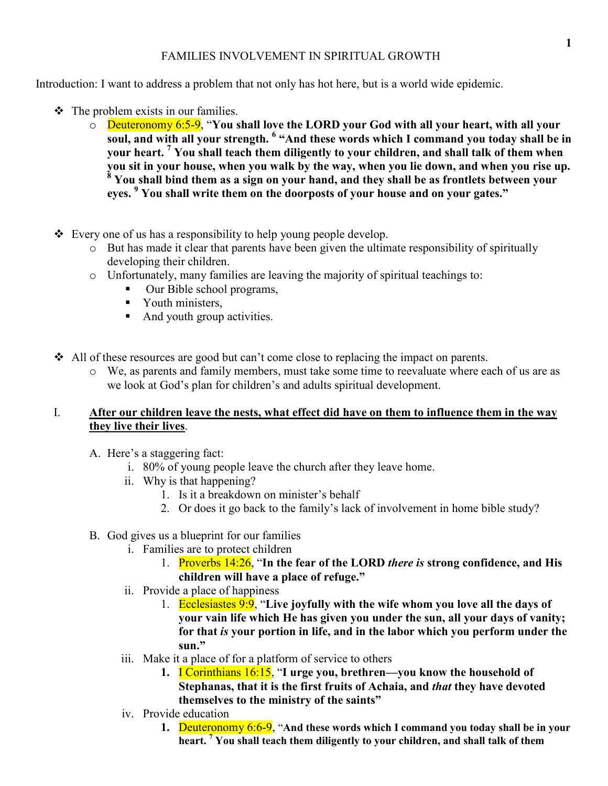## FAMILIES INVOLVEMENT IN SPIRITUAL GROWTH

Introduction: I want to address a problem that not only has hot here, but is a world wide epidemic.

- $\div$  The problem exists in our families.
	- o Deuteronomy 6:5-9, "**You shall love the LORD your God with all your heart, with all your soul, and with all your strength. <sup>6</sup> "And these words which I command you today shall be in your heart. <sup>7</sup> You shall teach them diligently to your children, and shall talk of them when you sit in your house, when you walk by the way, when you lie down, and when you rise up. 8 You shall bind them as a sign on your hand, and they shall be as frontlets between your eyes. <sup>9</sup> You shall write them on the doorposts of your house and on your gates."**
- Every one of us has a responsibility to help young people develop.
	- o But has made it clear that parents have been given the ultimate responsibility of spiritually developing their children.
	- o Unfortunately, many families are leaving the majority of spiritual teachings to:
		- -Our Bible school programs,
		- Youth ministers,
		- And youth group activities.
- All of these resources are good but can't come close to replacing the impact on parents.
	- o We, as parents and family members, must take some time to reevaluate where each of us are as we look at God's plan for children's and adults spiritual development.

## I. **After our children leave the nests, what effect did have on them to influence them in the way they live their lives**.

- A. Here's a staggering fact:
	- i. 80% of young people leave the church after they leave home.
	- ii. Why is that happening?
		- 1. Is it a breakdown on minister's behalf
		- 2. Or does it go back to the family's lack of involvement in home bible study?
- B. God gives us a blueprint for our families
	- i. Families are to protect children
		- 1. Proverbs 14:26, "**In the fear of the LORD** *there is* **strong confidence, and His children will have a place of refuge."**
	- ii. Provide a place of happiness
		- 1. Ecclesiastes 9:9, "**Live joyfully with the wife whom you love all the days of your vain life which He has given you under the sun, all your days of vanity; for that** *is* **your portion in life, and in the labor which you perform under the sun."**
	- iii. Make it a place of for a platform of service to others
		- **1.** I Corinthians 16:15, "**I urge you, brethren—you know the household of Stephanas, that it is the first fruits of Achaia, and** *that* **they have devoted themselves to the ministry of the saints"**
	- iv. Provide education
		- **1.** Deuteronomy 6:6-9, "**And these words which I command you today shall be in your heart. <sup>7</sup> You shall teach them diligently to your children, and shall talk of them**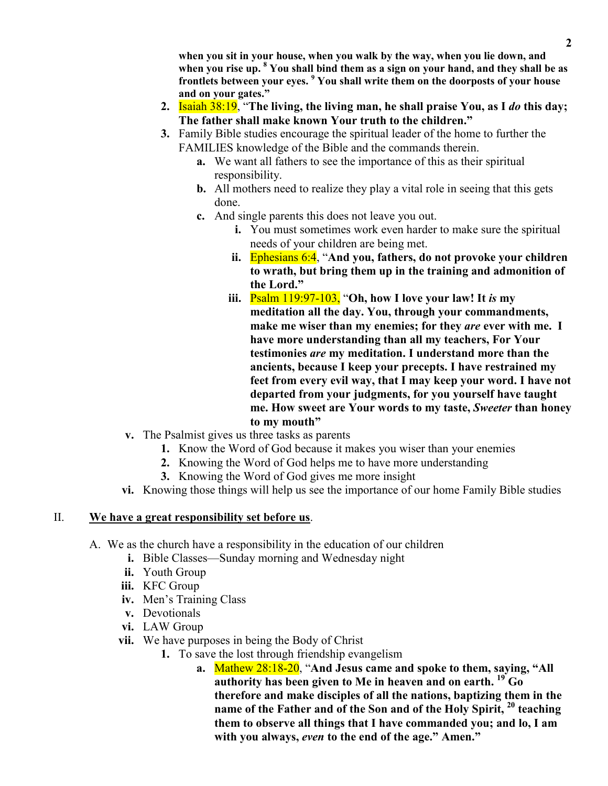**when you sit in your house, when you walk by the way, when you lie down, and when you rise up. <sup>8</sup> You shall bind them as a sign on your hand, and they shall be as frontlets between your eyes. <sup>9</sup> You shall write them on the doorposts of your house and on your gates."**

- **2.** Isaiah 38:19, "**The living, the living man, he shall praise You, as I** *do* **this day; The father shall make known Your truth to the children."**
- **3.** Family Bible studies encourage the spiritual leader of the home to further the FAMILIES knowledge of the Bible and the commands therein.
	- **a.** We want all fathers to see the importance of this as their spiritual responsibility.
	- **b.** All mothers need to realize they play a vital role in seeing that this gets done.
	- **c.** And single parents this does not leave you out.
		- **i.** You must sometimes work even harder to make sure the spiritual needs of your children are being met.
		- **ii.** Ephesians 6:4, "**And you, fathers, do not provoke your children to wrath, but bring them up in the training and admonition of the Lord."**
		- **iii.** Psalm 119:97-103, "**Oh, how I love your law! It** *is* **my meditation all the day. You, through your commandments, make me wiser than my enemies; for they** *are* **ever with me. I have more understanding than all my teachers, For Your testimonies** *are* **my meditation. I understand more than the ancients, because I keep your precepts. I have restrained my feet from every evil way, that I may keep your word. I have not departed from your judgments, for you yourself have taught me. How sweet are Your words to my taste,** *Sweeter* **than honey to my mouth"**
- **v.** The Psalmist gives us three tasks as parents
	- **1.** Know the Word of God because it makes you wiser than your enemies
	- **2.** Knowing the Word of God helps me to have more understanding
	- **3.** Knowing the Word of God gives me more insight
- **vi.** Knowing those things will help us see the importance of our home Family Bible studies

## II. **We have a great responsibility set before us**.

- A. We as the church have a responsibility in the education of our children
	- **i.** Bible Classes—Sunday morning and Wednesday night
	- **ii.** Youth Group
	- **iii.** KFC Group
	- **iv.** Men's Training Class
	- **v.** Devotionals
	- **vi.** LAW Group
	- **vii.** We have purposes in being the Body of Christ
		- **1.** To save the lost through friendship evangelism
			- **a.** Mathew 28:18-20, "**And Jesus came and spoke to them, saying, "All authority has been given to Me in heaven and on earth. <sup>19</sup> Go therefore and make disciples of all the nations, baptizing them in the name of the Father and of the Son and of the Holy Spirit, <sup>20</sup> teaching them to observe all things that I have commanded you; and lo, I am with you always,** *even* **to the end of the age." Amen."**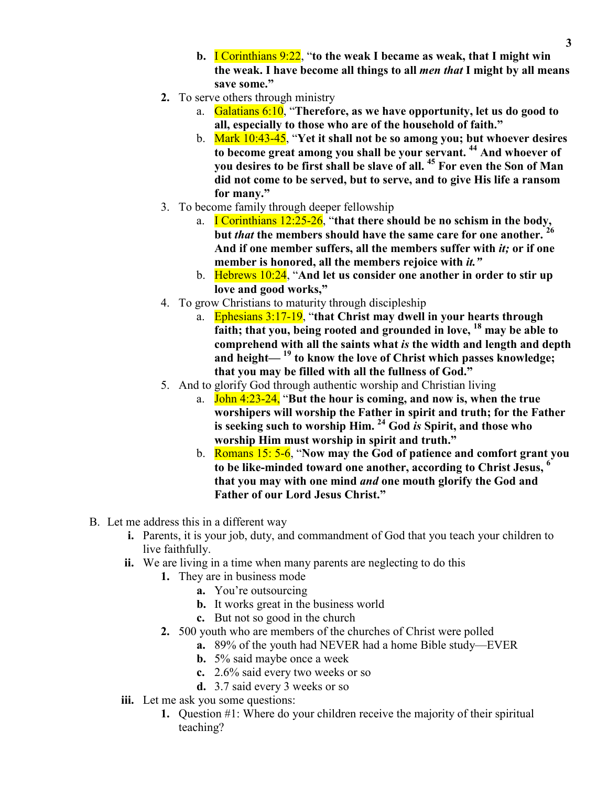- **b.** I Corinthians 9:22, "**to the weak I became as weak, that I might win the weak. I have become all things to all** *men that* **I might by all means save some."**
- **2.** To serve others through ministry
	- a. Galatians 6:10, "**Therefore, as we have opportunity, let us do good to all, especially to those who are of the household of faith."**
	- b. Mark 10:43-45, "**Yet it shall not be so among you; but whoever desires to become great among you shall be your servant. <sup>44</sup> And whoever of you desires to be first shall be slave of all. <sup>45</sup> For even the Son of Man did not come to be served, but to serve, and to give His life a ransom for many."**
- 3. To become family through deeper fellowship
	- a. I Corinthians 12:25-26, "**that there should be no schism in the body, but** *that* **the members should have the same care for one another. <sup>26</sup> And if one member suffers, all the members suffer with** *it;* **or if one member is honored, all the members rejoice with** *it."*
	- b. Hebrews 10:24, "**And let us consider one another in order to stir up love and good works,"**
- 4. To grow Christians to maturity through discipleship
	- a. Ephesians 3:17-19, "**that Christ may dwell in your hearts through faith; that you, being rooted and grounded in love, <sup>18</sup> may be able to comprehend with all the saints what** *is* **the width and length and depth and height— <sup>19</sup> to know the love of Christ which passes knowledge; that you may be filled with all the fullness of God."**
- 5. And to glorify God through authentic worship and Christian living
	- a. John 4:23-24, "**But the hour is coming, and now is, when the true worshipers will worship the Father in spirit and truth; for the Father is seeking such to worship Him. <sup>24</sup> God** *is* **Spirit, and those who worship Him must worship in spirit and truth."**
	- b. Romans 15: 5-6, "**Now may the God of patience and comfort grant you to be like-minded toward one another, according to Christ Jesus, <sup>6</sup> that you may with one mind** *and* **one mouth glorify the God and Father of our Lord Jesus Christ."**
- B. Let me address this in a different way
	- **i.** Parents, it is your job, duty, and commandment of God that you teach your children to live faithfully.
	- **ii.** We are living in a time when many parents are neglecting to do this
		- **1.** They are in business mode
			- **a.** You're outsourcing
			- **b.** It works great in the business world
			- **c.** But not so good in the church
		- **2.** 500 youth who are members of the churches of Christ were polled
			- **a.** 89% of the youth had NEVER had a home Bible study—EVER
			- **b.** 5% said maybe once a week
			- **c.** 2.6% said every two weeks or so
			- **d.** 3.7 said every 3 weeks or so
	- **iii.** Let me ask you some questions:
		- **1.** Question #1: Where do your children receive the majority of their spiritual teaching?